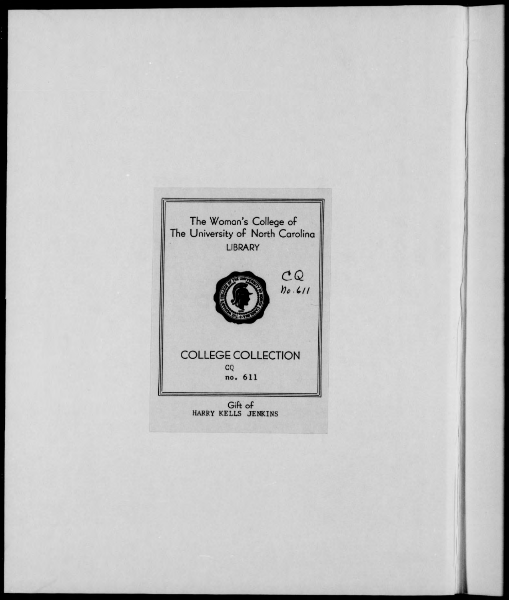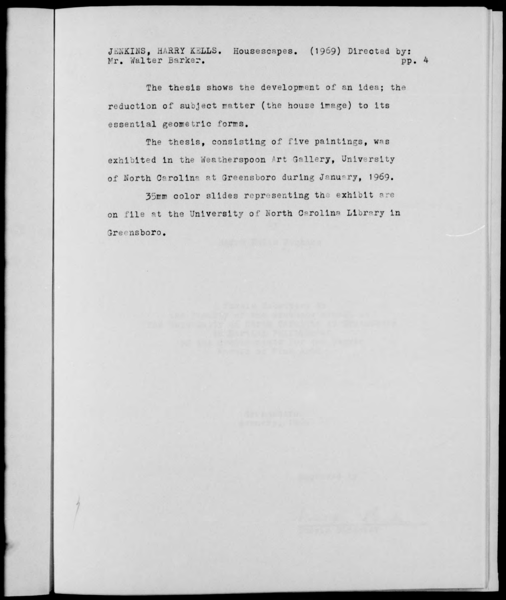JENKINS, HARRY KELLS. Housescapes. (1969) Directed by:<br>Mr. Walter Barker. pp. 4 Mr. Walter Barker.

The thesis shows the development of an idea; the reduction of subject matter (the house image) to its essential geometric forms.

The thesis, consisting of five paintings, was exhibited in the Weatherspoon Art Sallery, University of North CarolIns at Greensboro during January, 1969.

35mm color slides representing the exhibit are on file at the University of North Carolina Library in Greensboro.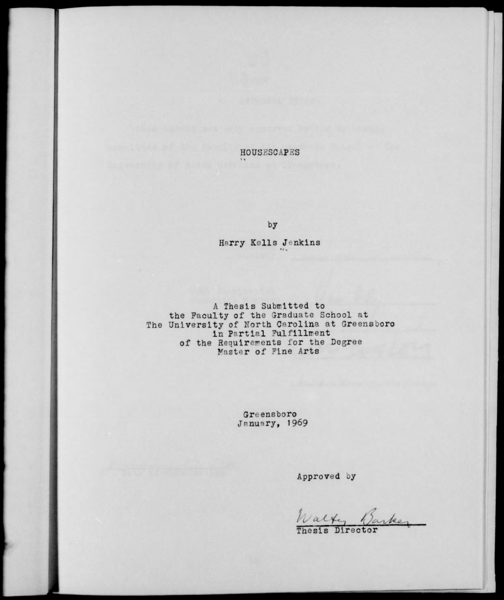HOUSESCAPES

by

Harry Kells Jenkins

<sup>A</sup> Thesis Submitted to the Faculty of the Graduate School at The University of North Carolina at Greensboro in Partial Fulfillment of the Requirements for the Degree Vaster of Pine Arts

> Greensboro January, 1969

> > Approved by

 $\frac{h}{\sqrt{h}}$ alte

Thesis Director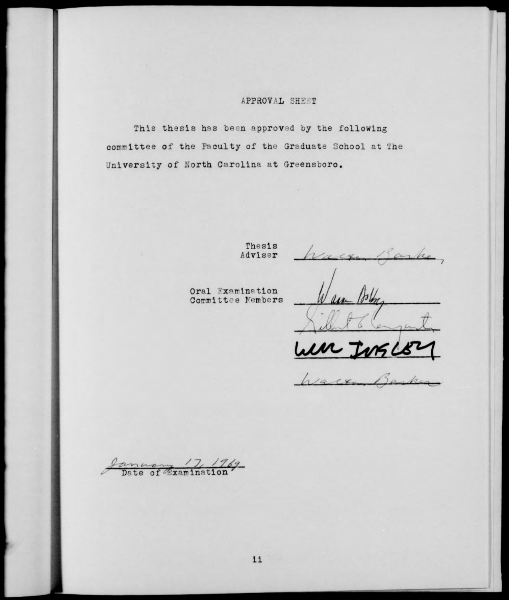## APPROVAL SHEET

This thesis has been approved by the following committee of the Faculty of the Graduate School at The University of North Carolina at Greensboro.

Thesis

Oral Examination Committee Members

Adviser *A* ila.

*7 \XAX- -'I* '' *\* -- <sup>I</sup>*--- ^-L,,

*LuCA^-LtrfU^*

 $\Delta$  acce, Basker

anuary 7, 769  $\varrho$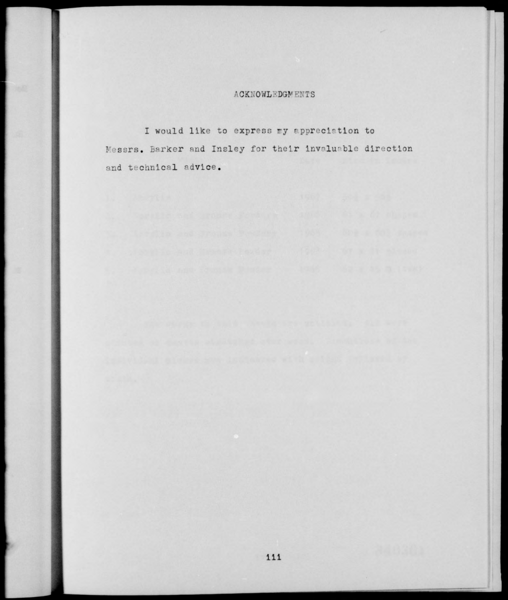## **ACKNOWLEDGMENTS**

I would like to express my appreciation to Messrs. Barker and Insley for their invaluable direction and technical advice.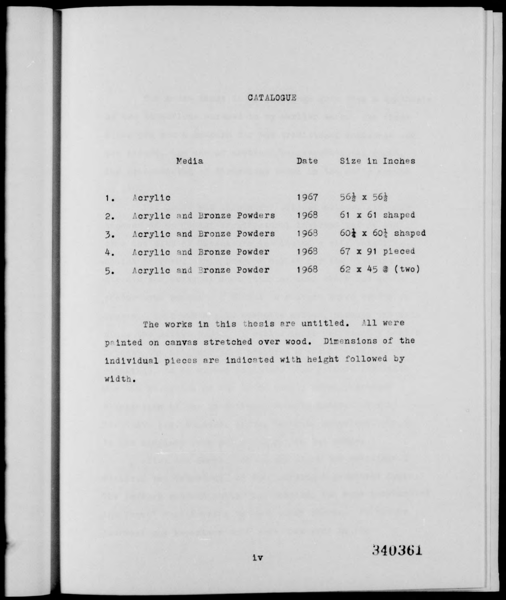## CATALOGUE

| Media |         |                              | Date | Size in Inches                           |
|-------|---------|------------------------------|------|------------------------------------------|
| 1.    | Acrylic |                              | 1967 | $56\frac{1}{2}$ x $56\frac{1}{2}$        |
| 2.    |         | Acrylic and Bronze Powders   | 1968 | $61 \times 61$ shaped                    |
| 3.    |         | Acrylic and Bronze Powders   | 1968 | $60\frac{1}{4}$ x $60\frac{1}{4}$ shaped |
|       |         | 4. Acrylic and Bronze Powder | 1968 | 67 x 91 pieced                           |
| 5.    |         | Acrylic and Bronze Powder    | 1968 | $62 \times 45$ @ (two)                   |

The works in this thesis are untitled. All were painted on canvas stretched over wood. Dimensions of the individual pieces are indicated with height followed by width.

iv 340361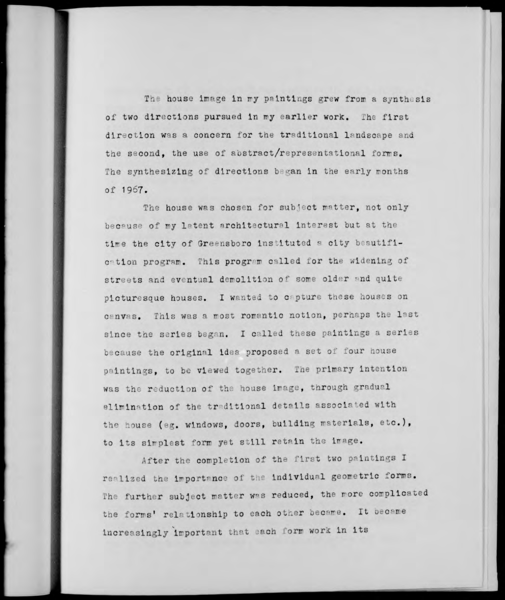The house image in my paintings grew from a synthesis of two directions pursued in my earlier work. The first direction was a concern for the traditional landscape and the second, the use of abstract/representational forms. The synthesizing of directions began in the early months of 1967.

The house was chosen for subject matter, not only because of my latent architectural Interest but at the time the city of Greensboro instituted a city beautification program. This program called for the widening of streets and eventual demolition of some older and quite picturesque houses. I wanted to capture these houses on canvas. This was a most romantic notion, perhaps the last since the series began. I called these paintings a series because the original Idea proposed a set of four bouse paintings, to be viewed together. The primary intention was the reduction of the house image, through gradual elimination of the traditional details associated with the house (eg. windows, doors, building materials, etc.), to its simplest form yet still retain the image.

After the completion of the first two paintings I realized the importance of the individual geometric forms. The further subject matter was reduced, the more complicated the forms' relationship to each other became. It became increasingly important that each form work in its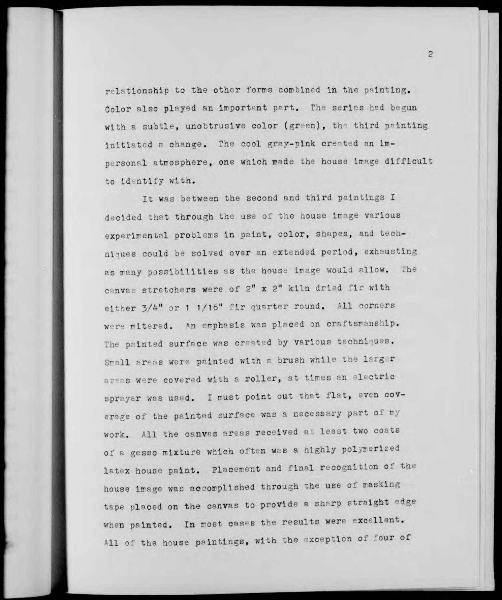relationship to the other forms combined in the painting. Color also played an important part. The series had begun with a subtle, unobtrusive color (green), the third painting initiated a change. The cool gray-pink created an impersonal atmosphere, one which made the house image difficult to identify with.

 $\overline{c}$ 

It was between the second and third paintings I decided that through the use of the house Image various experimental problems In paint, color, shapes, and techniques could be solved over an extended period, exhausting as many possibilities as the house image would allow. The canvas stretchers were of 2" x 2" kiln dried fir with either  $3/4$ " or 1  $1/16$ " fir quarter round. All corners were mitered. An emphasis was placed on craftsmanship. The painted surface was created by various techniques. Small areas were painted with a brush while the larger areas were covered with a roller, at times an electric sprayer was used. I must point out that flat, even coverage of the painted surface was a necessary part of my work. All the canvas areas received at least two coats of a gesso mixture which often was a highly polymerized latex house paint. Placement and final recognition of the house image wac accomplished through the use of masking tape placed on the canvas to provide a sharp straight edge when painted. In most cases the results were excellent. All of the house paintings, with the exception of four of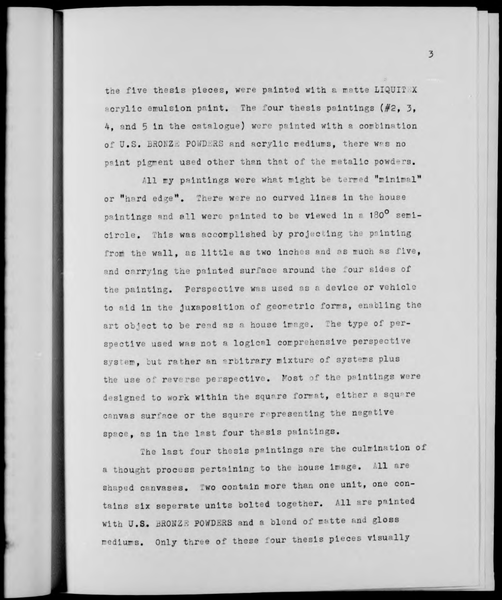the five thesis pieces, were painted with a matte LIQUIT.X acrylic emulsion paint. The four thesis paintings (#2, 3, *k,* and <sup>5</sup> in the catalogue) were painted with a combination of U.S. BRONZE POWDERS and acrylic mediums, there was no paint pigment used other than that of the metalic powders.

All my paintings were what might be termed "minimal" or "hard edge". There were no curved lines in the house paintings and all were painted to be viewed in a 180° semicircle. This was accomplished by projecting the pointing from the wall, as little as two inches and as much as five, and carrying the painted surface around the four sides of the painting. Perspective was used as <sup>a</sup> device or vehicle to aid in the Juxaposltlon of geometric forms, enabling the art object to be read as a house image. The type of perspective used was not a logical comprehensive perspective system, but rather an arbitrary mixture of systems plus the use of reverse perspective. Most of the paintings were designed to work within the square format, either a square canvas surface or the square representing the negative space, as in the last four thesis paintings.

The last four thesis paintings are the culmination of a thought process pertaining to the house image. All are shaped canvases. Two contain more than one unit, one contains six seperate units bolted together. All are painted with U.S. BRONZE POWDERS and a blend of matte and gloss mediums. Only three of these four thesis pieces visually

3